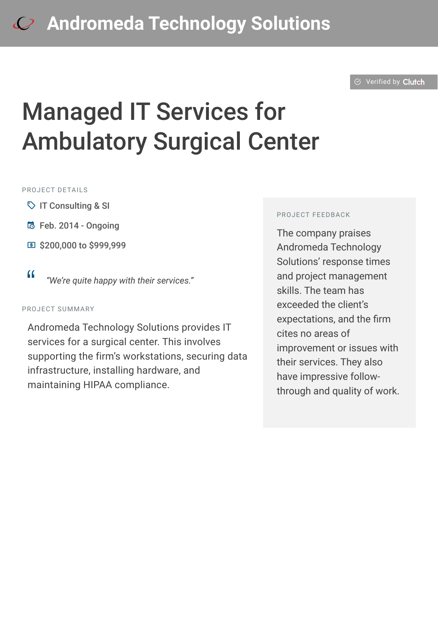#### $\odot$  [Verified by](https://clutch.co?utm_source=case_studies&utm_medium=verified_by_clutch) Clutch

# Managed IT Services for Ambulatory Surgical Center

#### PROJECT DETAILS

- $\heartsuit$  IT Consulting & SI
- **b** Feb. 2014 Ongoing
- **国 \$200,000 to \$999,999**

#### PROJECT SUMMARY

Andromeda Technology Solutions provides IT services for a surgical center. This involves supporting the firm's workstations, securing data infrastructure, installing hardware, and maintaining HIPAA compliance.

#### PROJECT FEEDBACK

The company praises Andromeda Technology Solutions' response times and project management skills. The team has exceeded the client's expectations, and the firm cites no areas of improvement or issues with their services. They also have impressive followthrough and quality of work.

<sup>D</sup> *"We're quite happy with their services."*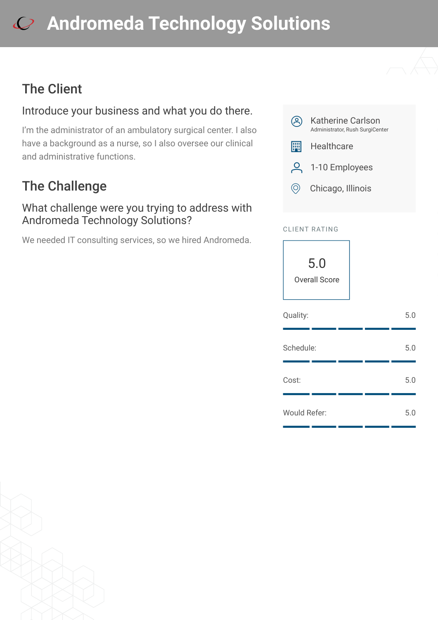### The Client

#### Introduce your business and what you do there.

I'm the administrator of an ambulatory surgical center. I also have a background as a nurse, so I also oversee our clinical and administrative functions.

### The Challenge

#### What challenge were you trying to address with Andromeda Technology Solutions?

We needed IT consulting services, so we hired Andromeda.





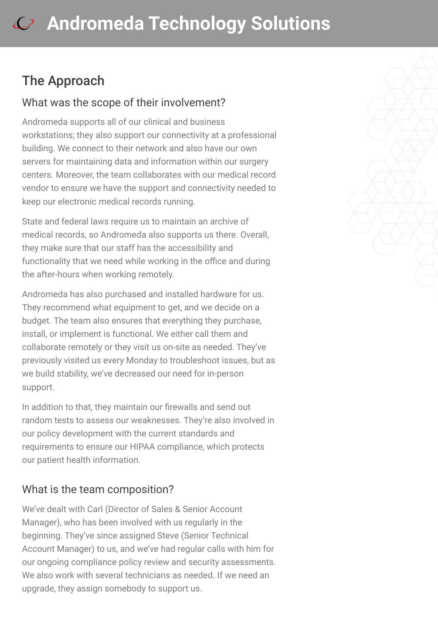### The Approach

#### What was the scope of their involvement?

Andromeda supports all of our clinical and business workstations; they also support our connectivity at a professional building. We connect to their network and also have our own servers for maintaining data and information within our surgery centers. Moreover, the team collaborates with our medical record vendor to ensure we have the support and connectivity needed to keep our electronic medical records running.

State and federal laws require us to maintain an archive of medical records, so Andromeda also supports us there. Overall, they make sure that our staff has the accessibility and functionality that we need while working in the office and during the after-hours when working remotely.

Andromeda has also purchased and installed hardware for us. They recommend what equipment to get, and we decide on a budget. The team also ensures that everything they purchase, install, or implement is functional. We either call them and collaborate remotely or they visit us on-site as needed. They've previously visited us every Monday to troubleshoot issues, but as we build stability, we've decreased our need for in-person support.

In addition to that, they maintain our firewalls and send out random tests to assess our weaknesses. They're also involved in our policy development with the current standards and requirements to ensure our HIPAA compliance, which protects our patient health information.

#### What is the team composition?

We've dealt with Carl (Director of Sales & Senior Account Manager), who has been involved with us regularly in the beginning. They've since assigned Steve (Senior Technical Account Manager) to us, and we've had regular calls with him for our ongoing compliance policy review and security assessments. We also work with several technicians as needed. If we need an upgrade, they assign somebody to support us.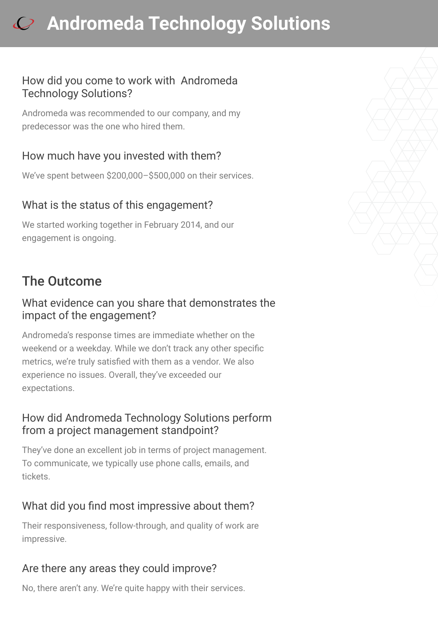#### How did you come to work with Andromeda Technology Solutions?

Andromeda was recommended to our company, and my predecessor was the one who hired them.

#### How much have you invested with them?

We've spent between \$200,000–\$500,000 on their services.

#### What is the status of this engagement?

We started working together in February 2014, and our engagement is ongoing.

### The Outcome

#### What evidence can you share that demonstrates the impact of the engagement?

Andromeda's response times are immediate whether on the weekend or a weekday. While we don't track any other specific metrics, we're truly satisfied with them as a vendor. We also experience no issues. Overall, they've exceeded our expectations.

#### How did Andromeda Technology Solutions perform from a project management standpoint?

They've done an excellent job in terms of project management. To communicate, we typically use phone calls, emails, and tickets.

#### What did you find most impressive about them?

Their responsiveness, follow-through, and quality of work are impressive.

#### Are there any areas they could improve?

No, there aren't any. We're quite happy with their services.